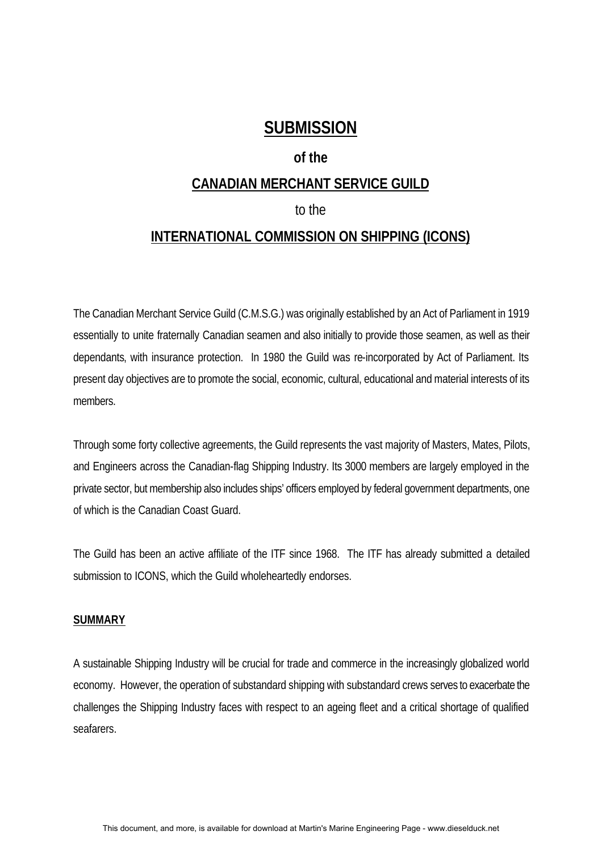# **SUBMISSION**

## **of the**

## **CANADIAN MERCHANT SERVICE GUILD**

## to the

## **INTERNATIONAL COMMISSION ON SHIPPING (ICONS)**

The Canadian Merchant Service Guild (C.M.S.G.) was originally established by an Act of Parliament in 1919 essentially to unite fraternally Canadian seamen and also initially to provide those seamen, as well as their dependants, with insurance protection. In 1980 the Guild was re-incorporated by Act of Parliament. Its present day objectives are to promote the social, economic, cultural, educational and material interests of its members.

Through some forty collective agreements, the Guild represents the vast majority of Masters, Mates, Pilots, and Engineers across the Canadian-flag Shipping Industry. Its 3000 members are largely employed in the private sector, but membership also includes ships' officers employed by federal government departments, one of which is the Canadian Coast Guard.

The Guild has been an active affiliate of the ITF since 1968. The ITF has already submitted a detailed submission to ICONS, which the Guild wholeheartedly endorses.

## **SUMMARY**

A sustainable Shipping Industry will be crucial for trade and commerce in the increasingly globalized world economy. However, the operation of substandard shipping with substandard crews serves to exacerbate the challenges the Shipping Industry faces with respect to an ageing fleet and a critical shortage of qualified seafarers.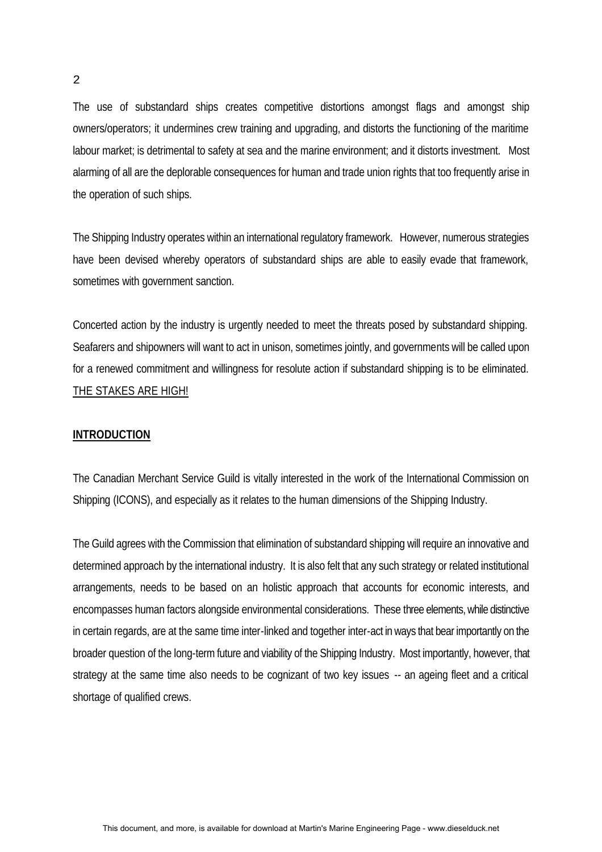The use of substandard ships creates competitive distortions amongst flags and amongst ship owners/operators; it undermines crew training and upgrading, and distorts the functioning of the maritime labour market; is detrimental to safety at sea and the marine environment; and it distorts investment. Most alarming of all are the deplorable consequences for human and trade union rights that too frequently arise in the operation of such ships.

The Shipping Industry operates within an international regulatory framework. However, numerous strategies have been devised whereby operators of substandard ships are able to easily evade that framework, sometimes with government sanction.

Concerted action by the industry is urgently needed to meet the threats posed by substandard shipping. Seafarers and shipowners will want to act in unison, sometimes jointly, and governments will be called upon for a renewed commitment and willingness for resolute action if substandard shipping is to be eliminated. THE STAKES ARE HIGH!

#### **INTRODUCTION**

The Canadian Merchant Service Guild is vitally interested in the work of the International Commission on Shipping (ICONS), and especially as it relates to the human dimensions of the Shipping Industry.

The Guild agrees with the Commission that elimination of substandard shipping will require an innovative and determined approach by the international industry. It is also felt that any such strategy or related institutional arrangements, needs to be based on an holistic approach that accounts for economic interests, and encompasses human factors alongside environmental considerations. These three elements, while distinctive in certain regards, are at the same time inter-linked and together inter-act in ways that bear importantly on the broader question of the long-term future and viability of the Shipping Industry. Most importantly, however, that strategy at the same time also needs to be cognizant of two key issues -- an ageing fleet and a critical shortage of qualified crews.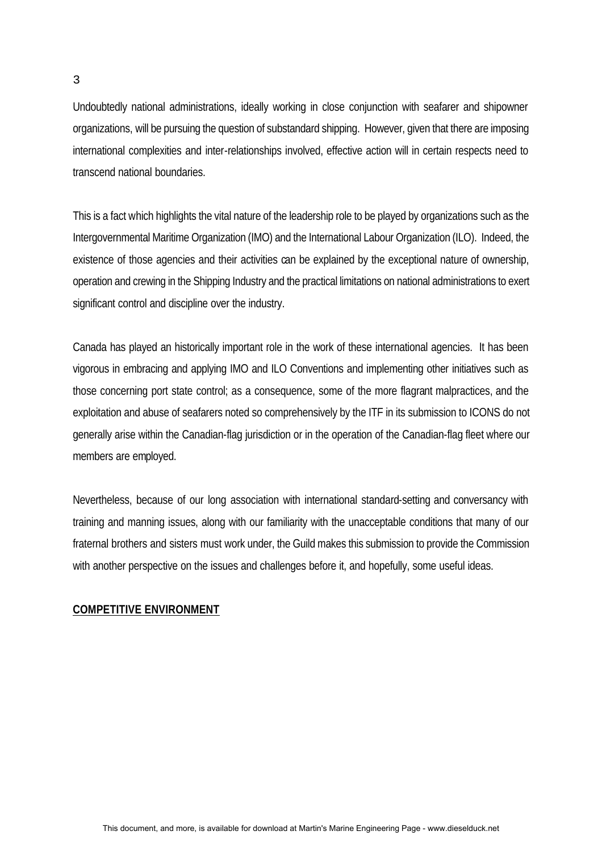3

Undoubtedly national administrations, ideally working in close conjunction with seafarer and shipowner organizations, will be pursuing the question of substandard shipping. However, given that there are imposing international complexities and inter-relationships involved, effective action will in certain respects need to transcend national boundaries.

This is a fact which highlights the vital nature of the leadership role to be played by organizations such as the Intergovernmental Maritime Organization (IMO) and the International Labour Organization (ILO). Indeed, the existence of those agencies and their activities can be explained by the exceptional nature of ownership, operation and crewing in the Shipping Industry and the practical limitations on national administrations to exert significant control and discipline over the industry.

Canada has played an historically important role in the work of these international agencies. It has been vigorous in embracing and applying IMO and ILO Conventions and implementing other initiatives such as those concerning port state control; as a consequence, some of the more flagrant malpractices, and the exploitation and abuse of seafarers noted so comprehensively by the ITF in its submission to ICONS do not generally arise within the Canadian-flag jurisdiction or in the operation of the Canadian-flag fleet where our members are employed.

Nevertheless, because of our long association with international standard-setting and conversancy with training and manning issues, along with our familiarity with the unacceptable conditions that many of our fraternal brothers and sisters must work under, the Guild makes this submission to provide the Commission with another perspective on the issues and challenges before it, and hopefully, some useful ideas.

#### **COMPETITIVE ENVIRONMENT**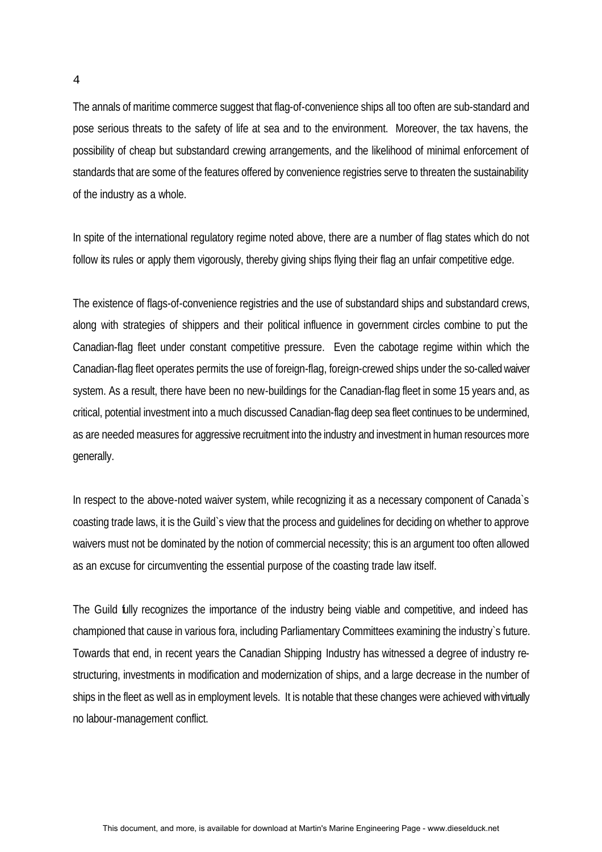The annals of maritime commerce suggest that flag-of-convenience ships all too often are sub-standard and pose serious threats to the safety of life at sea and to the environment. Moreover, the tax havens, the possibility of cheap but substandard crewing arrangements, and the likelihood of minimal enforcement of standards that are some of the features offered by convenience registries serve to threaten the sustainability of the industry as a whole.

In spite of the international regulatory regime noted above, there are a number of flag states which do not follow its rules or apply them vigorously, thereby giving ships flying their flag an unfair competitive edge.

The existence of flags-of-convenience registries and the use of substandard ships and substandard crews, along with strategies of shippers and their political influence in government circles combine to put the Canadian-flag fleet under constant competitive pressure. Even the cabotage regime within which the Canadian-flag fleet operates permits the use of foreign-flag, foreign-crewed ships under the so-called waiver system. As a result, there have been no new-buildings for the Canadian-flag fleet in some 15 years and, as critical, potential investment into a much discussed Canadian-flag deep sea fleet continues to be undermined, as are needed measures for aggressive recruitment into the industry and investment in human resources more generally.

In respect to the above-noted waiver system, while recognizing it as a necessary component of Canada's coasting trade laws, it is the Guild`s view that the process and guidelines for deciding on whether to approve waivers must not be dominated by the notion of commercial necessity; this is an argument too often allowed as an excuse for circumventing the essential purpose of the coasting trade law itself.

The Guild fully recognizes the importance of the industry being viable and competitive, and indeed has championed that cause in various fora, including Parliamentary Committees examining the industry`s future. Towards that end, in recent years the Canadian Shipping Industry has witnessed a degree of industry restructuring, investments in modification and modernization of ships, and a large decrease in the number of ships in the fleet as well as in employment levels. It is notable that these changes were achieved with virtually no labour-management conflict.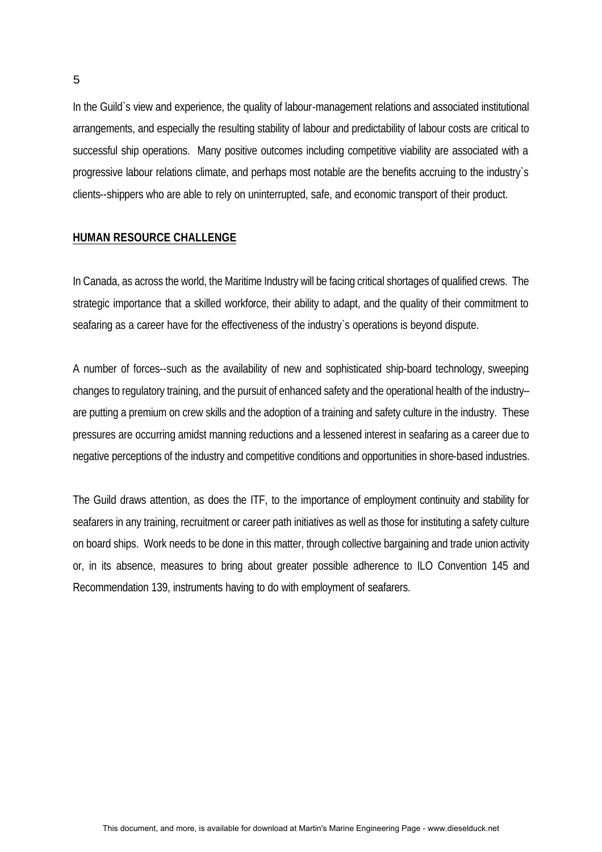In the Guild`s view and experience, the quality of labour-management relations and associated institutional arrangements, and especially the resulting stability of labour and predictability of labour costs are critical to successful ship operations. Many positive outcomes including competitive viability are associated with a progressive labour relations climate, and perhaps most notable are the benefits accruing to the industry`s clients--shippers who are able to rely on uninterrupted, safe, and economic transport of their product.

#### **HUMAN RESOURCE CHALLENGE**

In Canada, as across the world, the Maritime Industry will be facing critical shortages of qualified crews. The strategic importance that a skilled workforce, their ability to adapt, and the quality of their commitment to seafaring as a career have for the effectiveness of the industry`s operations is beyond dispute.

A number of forces--such as the availability of new and sophisticated ship-board technology, sweeping changes to regulatory training, and the pursuit of enhanced safety and the operational health of the industry- are putting a premium on crew skills and the adoption of a training and safety culture in the industry. These pressures are occurring amidst manning reductions and a lessened interest in seafaring as a career due to negative perceptions of the industry and competitive conditions and opportunities in shore-based industries.

The Guild draws attention, as does the ITF, to the importance of employment continuity and stability for seafarers in any training, recruitment or career path initiatives as well as those for instituting a safety culture on board ships. Work needs to be done in this matter, through collective bargaining and trade union activity or, in its absence, measures to bring about greater possible adherence to ILO Convention 145 and Recommendation 139, instruments having to do with employment of seafarers.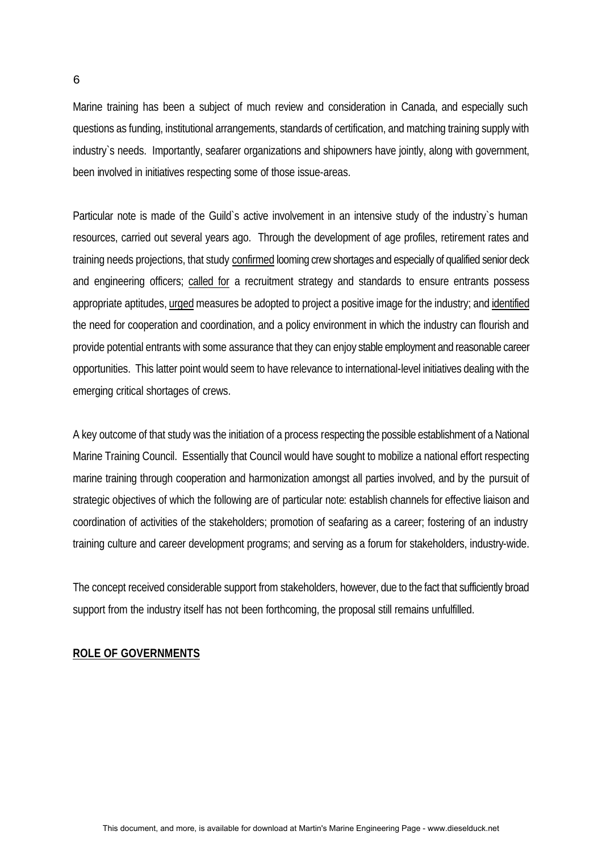Marine training has been a subject of much review and consideration in Canada, and especially such questions as funding, institutional arrangements, standards of certification, and matching training supply with industry`s needs. Importantly, seafarer organizations and shipowners have jointly, along with government, been involved in initiatives respecting some of those issue-areas.

Particular note is made of the Guild`s active involvement in an intensive study of the industry`s human resources, carried out several years ago. Through the development of age profiles, retirement rates and training needs projections, that study confirmed looming crew shortages and especially of qualified senior deck and engineering officers; called for a recruitment strategy and standards to ensure entrants possess appropriate aptitudes, urged measures be adopted to project a positive image for the industry; and identified the need for cooperation and coordination, and a policy environment in which the industry can flourish and provide potential entrants with some assurance that they can enjoy stable employment and reasonable career opportunities. This latter point would seem to have relevance to international-level initiatives dealing with the emerging critical shortages of crews.

A key outcome of that study was the initiation of a process respecting the possible establishment of a National Marine Training Council. Essentially that Council would have sought to mobilize a national effort respecting marine training through cooperation and harmonization amongst all parties involved, and by the pursuit of strategic objectives of which the following are of particular note: establish channels for effective liaison and coordination of activities of the stakeholders; promotion of seafaring as a career; fostering of an industry training culture and career development programs; and serving as a forum for stakeholders, industry-wide.

The concept received considerable support from stakeholders, however, due to the fact that sufficiently broad support from the industry itself has not been forthcoming, the proposal still remains unfulfilled.

## **ROLE OF GOVERNMENTS**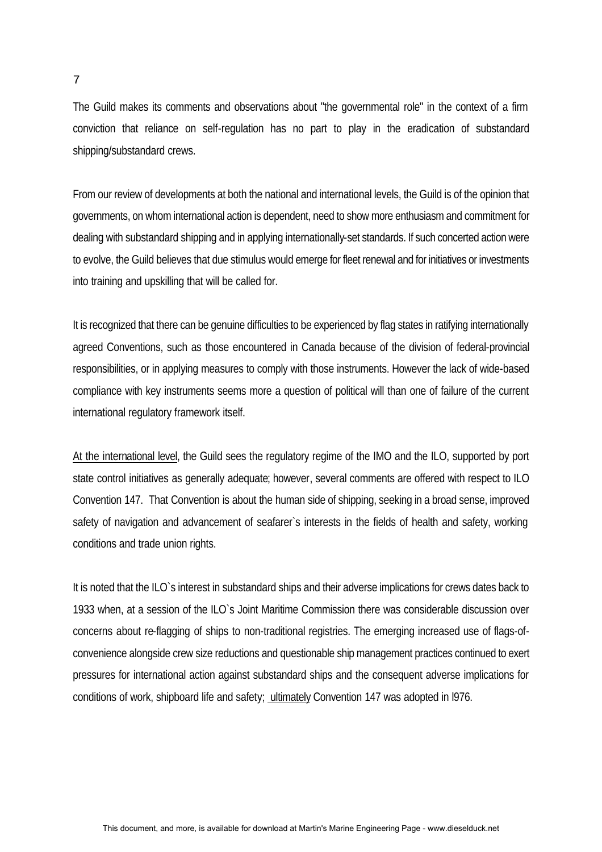The Guild makes its comments and observations about "the governmental role" in the context of a firm conviction that reliance on self-regulation has no part to play in the eradication of substandard shipping/substandard crews.

From our review of developments at both the national and international levels, the Guild is of the opinion that governments, on whom international action is dependent, need to show more enthusiasm and commitment for dealing with substandard shipping and in applying internationally-set standards. If such concerted action were to evolve, the Guild believes that due stimulus would emerge for fleet renewal and for initiatives or investments into training and upskilling that will be called for.

It is recognized that there can be genuine difficulties to be experienced by flag states in ratifying internationally agreed Conventions, such as those encountered in Canada because of the division of federal-provincial responsibilities, or in applying measures to comply with those instruments. However the lack of wide-based compliance with key instruments seems more a question of political will than one of failure of the current international regulatory framework itself.

At the international level, the Guild sees the regulatory regime of the IMO and the ILO, supported by port state control initiatives as generally adequate; however, several comments are offered with respect to ILO Convention 147. That Convention is about the human side of shipping, seeking in a broad sense, improved safety of navigation and advancement of seafarer's interests in the fields of health and safety, working conditions and trade union rights.

It is noted that the ILO`s interest in substandard ships and their adverse implications for crews dates back to 1933 when, at a session of the ILO`s Joint Maritime Commission there was considerable discussion over concerns about re-flagging of ships to non-traditional registries. The emerging increased use of flags-ofconvenience alongside crew size reductions and questionable ship management practices continued to exert pressures for international action against substandard ships and the consequent adverse implications for conditions of work, shipboard life and safety; ultimately Convention 147 was adopted in 1976.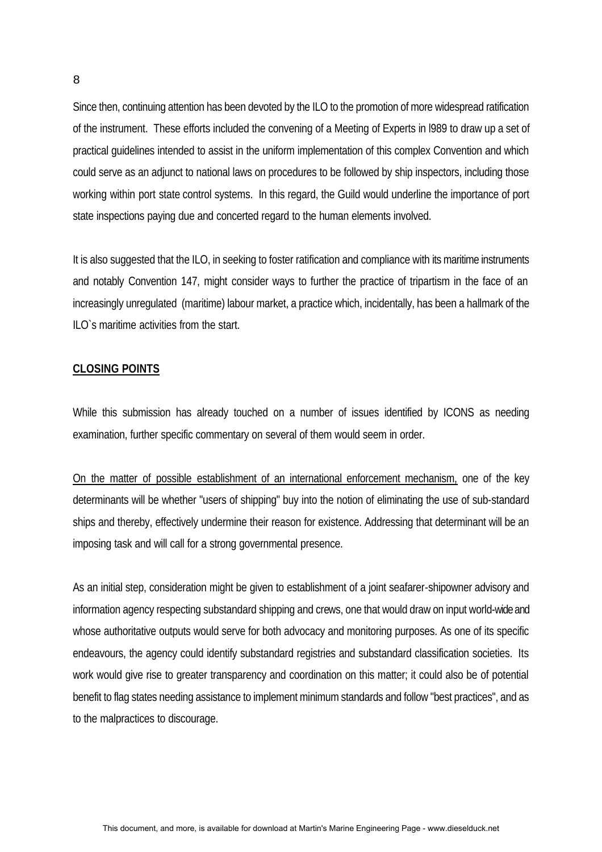Since then, continuing attention has been devoted by the ILO to the promotion of more widespread ratification of the instrument. These efforts included the convening of a Meeting of Experts in l989 to draw up a set of practical guidelines intended to assist in the uniform implementation of this complex Convention and which could serve as an adjunct to national laws on procedures to be followed by ship inspectors, including those working within port state control systems. In this regard, the Guild would underline the importance of port state inspections paying due and concerted regard to the human elements involved.

It is also suggested that the ILO, in seeking to foster ratification and compliance with its maritime instruments and notably Convention 147, might consider ways to further the practice of tripartism in the face of an increasingly unregulated (maritime) labour market, a practice which, incidentally, has been a hallmark of the ILO`s maritime activities from the start.

#### **CLOSING POINTS**

While this submission has already touched on a number of issues identified by ICONS as needing examination, further specific commentary on several of them would seem in order.

On the matter of possible establishment of an international enforcement mechanism, one of the key determinants will be whether "users of shipping" buy into the notion of eliminating the use of sub-standard ships and thereby, effectively undermine their reason for existence. Addressing that determinant will be an imposing task and will call for a strong governmental presence.

As an initial step, consideration might be given to establishment of a joint seafarer-shipowner advisory and information agency respecting substandard shipping and crews, one that would draw on input world-wide and whose authoritative outputs would serve for both advocacy and monitoring purposes. As one of its specific endeavours, the agency could identify substandard registries and substandard classification societies. Its work would give rise to greater transparency and coordination on this matter; it could also be of potential benefit to flag states needing assistance to implement minimum standards and follow "best practices", and as to the malpractices to discourage.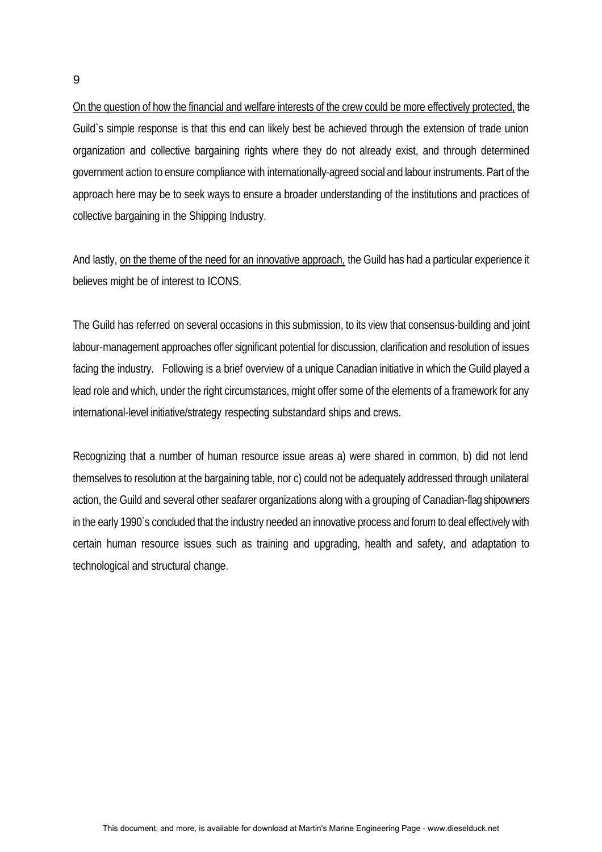On the question of how the financial and welfare interests of the crew could be more effectively protected, the Guild`s simple response is that this end can likely best be achieved through the extension of trade union organization and collective bargaining rights where they do not already exist, and through determined government action to ensure compliance with internationally-agreed social and labour instruments. Part of the approach here may be to seek ways to ensure a broader understanding of the institutions and practices of collective bargaining in the Shipping Industry.

And lastly, on the theme of the need for an innovative approach, the Guild has had a particular experience it believes might be of interest to ICONS.

The Guild has referred on several occasions in this submission, to its view that consensus-building and joint labour-management approaches offer significant potential for discussion, clarification and resolution of issues facing the industry. Following is a brief overview of a unique Canadian initiative in which the Guild played a lead role and which, under the right circumstances, might offer some of the elements of a framework for any international-level initiative/strategy respecting substandard ships and crews.

Recognizing that a number of human resource issue areas a) were shared in common, b) did not lend themselves to resolution at the bargaining table, nor c) could not be adequately addressed through unilateral action, the Guild and several other seafarer organizations along with a grouping of Canadian-flag shipowners in the early 1990`s concluded that the industry needed an innovative process and forum to deal effectively with certain human resource issues such as training and upgrading, health and safety, and adaptation to technological and structural change.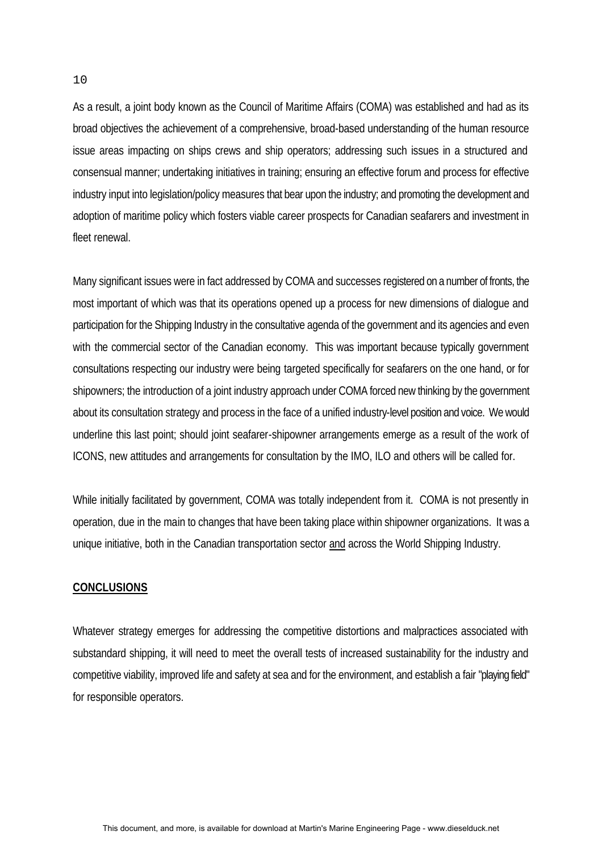As a result, a joint body known as the Council of Maritime Affairs (COMA) was established and had as its broad objectives the achievement of a comprehensive, broad-based understanding of the human resource issue areas impacting on ships crews and ship operators; addressing such issues in a structured and consensual manner; undertaking initiatives in training; ensuring an effective forum and process for effective industry input into legislation/policy measures that bear upon the industry; and promoting the development and adoption of maritime policy which fosters viable career prospects for Canadian seafarers and investment in fleet renewal.

Many significant issues were in fact addressed by COMA and successes registered on a number of fronts, the most important of which was that its operations opened up a process for new dimensions of dialogue and participation for the Shipping Industry in the consultative agenda of the government and its agencies and even with the commercial sector of the Canadian economy. This was important because typically government consultations respecting our industry were being targeted specifically for seafarers on the one hand, or for shipowners; the introduction of a joint industry approach under COMA forced new thinking by the government about its consultation strategy and process in the face of a unified industry-level position and voice. We would underline this last point; should joint seafarer-shipowner arrangements emerge as a result of the work of ICONS, new attitudes and arrangements for consultation by the IMO, ILO and others will be called for.

While initially facilitated by government, COMA was totally independent from it. COMA is not presently in operation, due in the main to changes that have been taking place within shipowner organizations. It was a unique initiative, both in the Canadian transportation sector and across the World Shipping Industry.

#### **CONCLUSIONS**

Whatever strategy emerges for addressing the competitive distortions and malpractices associated with substandard shipping, it will need to meet the overall tests of increased sustainability for the industry and competitive viability, improved life and safety at sea and for the environment, and establish a fair "playing field" for responsible operators.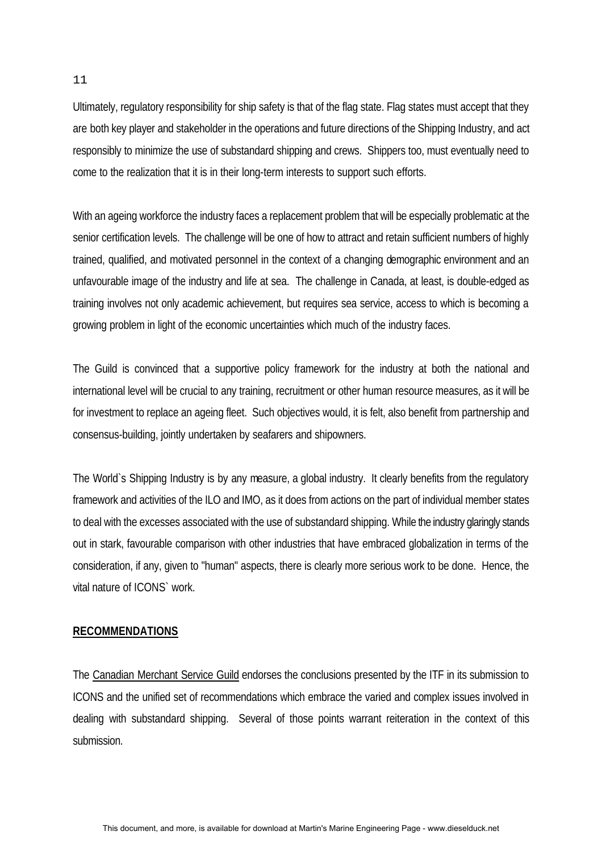Ultimately, regulatory responsibility for ship safety is that of the flag state. Flag states must accept that they are both key player and stakeholder in the operations and future directions of the Shipping Industry, and act responsibly to minimize the use of substandard shipping and crews. Shippers too, must eventually need to come to the realization that it is in their long-term interests to support such efforts.

With an ageing workforce the industry faces a replacement problem that will be especially problematic at the senior certification levels. The challenge will be one of how to attract and retain sufficient numbers of highly trained, qualified, and motivated personnel in the context of a changing demographic environment and an unfavourable image of the industry and life at sea. The challenge in Canada, at least, is double-edged as training involves not only academic achievement, but requires sea service, access to which is becoming a growing problem in light of the economic uncertainties which much of the industry faces.

The Guild is convinced that a supportive policy framework for the industry at both the national and international level will be crucial to any training, recruitment or other human resource measures, as it will be for investment to replace an ageing fleet. Such objectives would, it is felt, also benefit from partnership and consensus-building, jointly undertaken by seafarers and shipowners.

The World`s Shipping Industry is by any measure, a global industry. It clearly benefits from the regulatory framework and activities of the ILO and IMO, as it does from actions on the part of individual member states to deal with the excesses associated with the use of substandard shipping. While the industry glaringly stands out in stark, favourable comparison with other industries that have embraced globalization in terms of the consideration, if any, given to "human" aspects, there is clearly more serious work to be done. Hence, the vital nature of ICONS` work.

## **RECOMMENDATIONS**

The Canadian Merchant Service Guild endorses the conclusions presented by the ITF in its submission to ICONS and the unified set of recommendations which embrace the varied and complex issues involved in dealing with substandard shipping. Several of those points warrant reiteration in the context of this submission.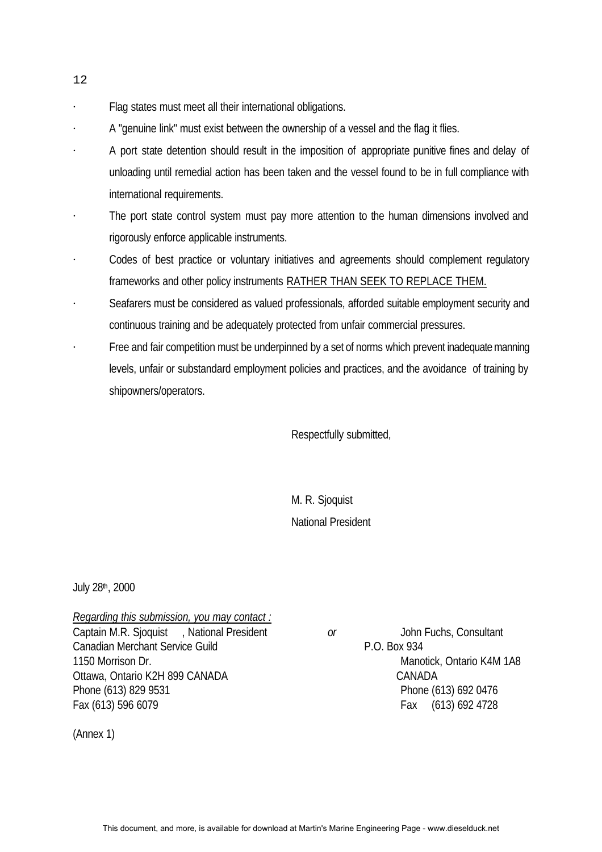- Flag states must meet all their international obligations.
- A "genuine link" must exist between the ownership of a vessel and the flag it flies.
- A port state detention should result in the imposition of appropriate punitive fines and delay of unloading until remedial action has been taken and the vessel found to be in full compliance with international requirements.
- The port state control system must pay more attention to the human dimensions involved and rigorously enforce applicable instruments.
- Codes of best practice or voluntary initiatives and agreements should complement regulatory frameworks and other policy instruments RATHER THAN SEEK TO REPLACE THEM.
- Seafarers must be considered as valued professionals, afforded suitable employment security and continuous training and be adequately protected from unfair commercial pressures.
- Free and fair competition must be underpinned by a set of norms which prevent inadequate manning levels, unfair or substandard employment policies and practices, and the avoidance of training by shipowners/operators.

Respectfully submitted,

M. R. Sjoquist National President

July 28th, 2000

*Regarding this submission, you may contact :* Captain M.R. Sjoquist , National President *or* John Fuchs, Consultant Canadian Merchant Service Guild **P.O. Box 934** 1150 Morrison Dr. Manotick, Ontario K4M 1A8 Ottawa, Ontario K2H 899 CANADA CANADA CANADA Phone (613) 829 9531 Phone (613) 692 0476 Fax (613) 596 6079 Fax (613) 692 4728

(Annex 1)